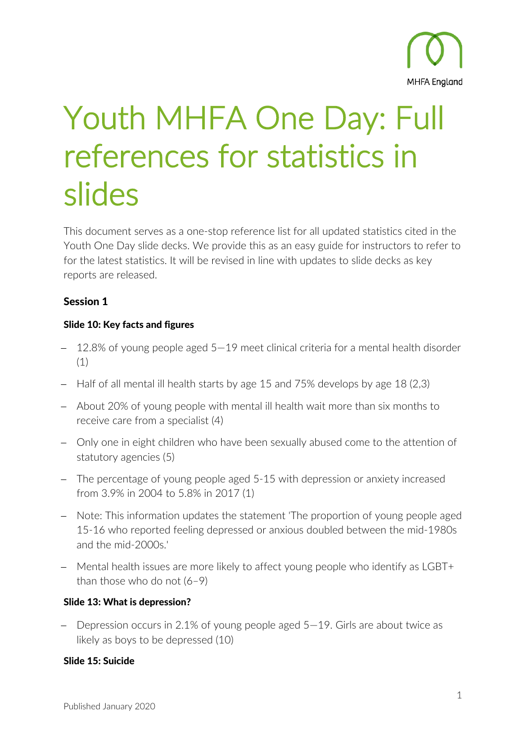

# Youth MHFA One Day: Full references for statistics in slides

This document serves as a one-stop reference list for all updated statistics cited in the Youth One Day slide decks. We provide this as an easy guide for instructors to refer to for the latest statistics. It will be revised in line with updates to slide decks as key reports are released.

# Session 1

#### Slide 10: Key facts and figures

- 12.8% of young people aged 5–19 meet clinical criteria for a mental health disorder (1)
- − Half of all mental ill health starts by age 15 and 75% develops by age 18 (2,3)
- − About 20% of young people with mental ill health wait more than six months to receive care from a specialist (4)
- − Only one in eight children who have been sexually abused come to the attention of statutory agencies (5)
- − The percentage of young people aged 5-15 with depression or anxiety increased from 3.9% in 2004 to 5.8% in 2017 (1)
- − Note: This information updates the statement 'The proportion of young people aged 15-16 who reported feeling depressed or anxious doubled between the mid-1980s and the mid-2000s.'
- − Mental health issues are more likely to affect young people who identify as LGBT+ than those who do not  $(6-9)$

## Slide 13: What is depression?

− Depression occurs in 2.1% of young people aged 5—19. Girls are about twice as likely as boys to be depressed (10)

#### Slide 15: Suicide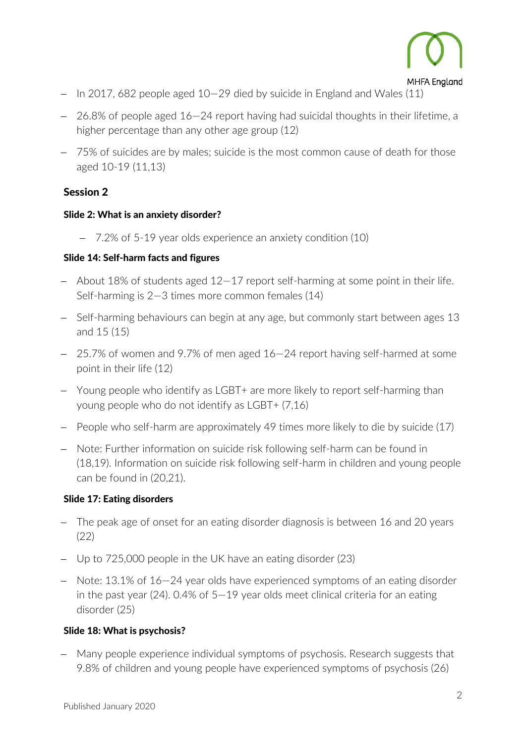

- − In 2017, 682 people aged 10—29 died by suicide in England and Wales (11)
- − 26.8% of people aged 16—24 report having had suicidal thoughts in their lifetime, a higher percentage than any other age group (12)
- − 75% of suicides are by males; suicide is the most common cause of death for those aged 10-19 (11,13)

## Session 2

#### Slide 2: What is an anxiety disorder?

− 7.2% of 5-19 year olds experience an anxiety condition (10)

#### Slide 14: Self-harm facts and figures

- − About 18% of students aged 12—17 report self-harming at some point in their life. Self-harming is 2—3 times more common females (14)
- − Self-harming behaviours can begin at any age, but commonly start between ages 13 and 15 (15)
- − 25.7% of women and 9.7% of men aged 16—24 report having self-harmed at some point in their life (12)
- − Young people who identify as LGBT+ are more likely to report self-harming than young people who do not identify as LGBT+ (7,16)
- − People who self-harm are approximately 49 times more likely to die by suicide (17)
- − Note: Further information on suicide risk following self-harm can be found in (18,19). Information on suicide risk following self-harm in children and young people can be found in (20,21).

#### Slide 17: Eating disorders

- − The peak age of onset for an eating disorder diagnosis is between 16 and 20 years (22)
- − Up to 725,000 people in the UK have an eating disorder (23)
- − Note: 13.1% of 16—24 year olds have experienced symptoms of an eating disorder in the past year (24). 0.4% of 5—19 year olds meet clinical criteria for an eating disorder (25)

#### Slide 18: What is psychosis?

− Many people experience individual symptoms of psychosis. Research suggests that 9.8% of children and young people have experienced symptoms of psychosis (26)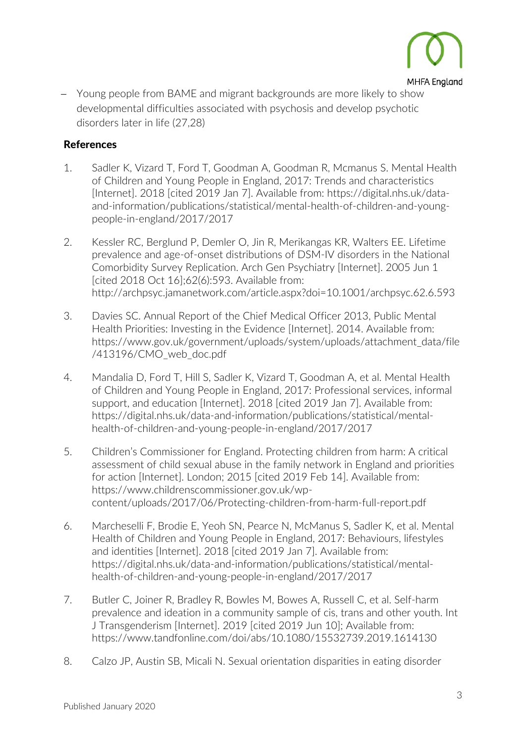

− Young people from BAME and migrant backgrounds are more likely to show developmental difficulties associated with psychosis and develop psychotic disorders later in life (27,28)

### References

- 1. Sadler K, Vizard T, Ford T, Goodman A, Goodman R, Mcmanus S. Mental Health of Children and Young People in England, 2017: Trends and characteristics [Internet]. 2018 [cited 2019 Jan 7]. Available from: https://digital.nhs.uk/dataand-information/publications/statistical/mental-health-of-children-and-youngpeople-in-england/2017/2017
- 2. Kessler RC, Berglund P, Demler O, Jin R, Merikangas KR, Walters EE. Lifetime prevalence and age-of-onset distributions of DSM-IV disorders in the National Comorbidity Survey Replication. Arch Gen Psychiatry [Internet]. 2005 Jun 1 [cited 2018 Oct 16];62(6):593. Available from: http://archpsyc.jamanetwork.com/article.aspx?doi=10.1001/archpsyc.62.6.593
- 3. Davies SC. Annual Report of the Chief Medical Officer 2013, Public Mental Health Priorities: Investing in the Evidence [Internet]. 2014. Available from: https://www.gov.uk/government/uploads/system/uploads/attachment\_data/file /413196/CMO\_web\_doc.pdf
- 4. Mandalia D, Ford T, Hill S, Sadler K, Vizard T, Goodman A, et al. Mental Health of Children and Young People in England, 2017: Professional services, informal support, and education [Internet]. 2018 [cited 2019 Jan 7]. Available from: https://digital.nhs.uk/data-and-information/publications/statistical/mentalhealth-of-children-and-young-people-in-england/2017/2017
- 5. Children's Commissioner for England. Protecting children from harm: A critical assessment of child sexual abuse in the family network in England and priorities for action [Internet]. London; 2015 [cited 2019 Feb 14]. Available from: https://www.childrenscommissioner.gov.uk/wpcontent/uploads/2017/06/Protecting-children-from-harm-full-report.pdf
- 6. Marcheselli F, Brodie E, Yeoh SN, Pearce N, McManus S, Sadler K, et al. Mental Health of Children and Young People in England, 2017: Behaviours, lifestyles and identities [Internet]. 2018 [cited 2019 Jan 7]. Available from: https://digital.nhs.uk/data-and-information/publications/statistical/mentalhealth-of-children-and-young-people-in-england/2017/2017
- 7. Butler C, Joiner R, Bradley R, Bowles M, Bowes A, Russell C, et al. Self-harm prevalence and ideation in a community sample of cis, trans and other youth. Int J Transgenderism [Internet]. 2019 [cited 2019 Jun 10]; Available from: https://www.tandfonline.com/doi/abs/10.1080/15532739.2019.1614130
- 8. Calzo JP, Austin SB, Micali N. Sexual orientation disparities in eating disorder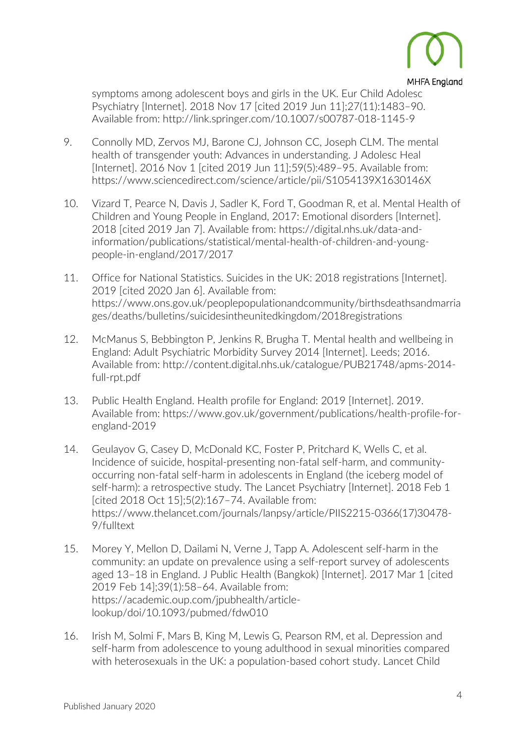

#### **MHFA England**

symptoms among adolescent boys and girls in the UK. Eur Child Adolesc Psychiatry [Internet]. 2018 Nov 17 [cited 2019 Jun 11];27(11):1483–90. Available from: http://link.springer.com/10.1007/s00787-018-1145-9

- 9. Connolly MD, Zervos MJ, Barone CJ, Johnson CC, Joseph CLM. The mental health of transgender youth: Advances in understanding. J Adolesc Heal [Internet]. 2016 Nov 1 [cited 2019 Jun 11];59(5):489–95. Available from: https://www.sciencedirect.com/science/article/pii/S1054139X1630146X
- 10. Vizard T, Pearce N, Davis J, Sadler K, Ford T, Goodman R, et al. Mental Health of Children and Young People in England, 2017: Emotional disorders [Internet]. 2018 [cited 2019 Jan 7]. Available from: https://digital.nhs.uk/data-andinformation/publications/statistical/mental-health-of-children-and-youngpeople-in-england/2017/2017
- 11. Office for National Statistics. Suicides in the UK: 2018 registrations [Internet]. 2019 [cited 2020 Jan 6]. Available from: https://www.ons.gov.uk/peoplepopulationandcommunity/birthsdeathsandmarria ges/deaths/bulletins/suicidesintheunitedkingdom/2018registrations
- 12. McManus S, Bebbington P, Jenkins R, Brugha T. Mental health and wellbeing in England: Adult Psychiatric Morbidity Survey 2014 [Internet]. Leeds; 2016. Available from: http://content.digital.nhs.uk/catalogue/PUB21748/apms-2014 full-rpt.pdf
- 13. Public Health England. Health profile for England: 2019 [Internet]. 2019. Available from: https://www.gov.uk/government/publications/health-profile-forengland-2019
- 14. Geulayov G, Casey D, McDonald KC, Foster P, Pritchard K, Wells C, et al. Incidence of suicide, hospital-presenting non-fatal self-harm, and communityoccurring non-fatal self-harm in adolescents in England (the iceberg model of self-harm): a retrospective study. The Lancet Psychiatry [Internet]. 2018 Feb 1 [cited 2018 Oct 15];5(2):167–74. Available from: https://www.thelancet.com/journals/lanpsy/article/PIIS2215-0366(17)30478- 9/fulltext
- 15. Morey Y, Mellon D, Dailami N, Verne J, Tapp A. Adolescent self-harm in the community: an update on prevalence using a self-report survey of adolescents aged 13–18 in England. J Public Health (Bangkok) [Internet]. 2017 Mar 1 [cited 2019 Feb 14];39(1):58–64. Available from: https://academic.oup.com/jpubhealth/articlelookup/doi/10.1093/pubmed/fdw010
- 16. Irish M, Solmi F, Mars B, King M, Lewis G, Pearson RM, et al. Depression and self-harm from adolescence to young adulthood in sexual minorities compared with heterosexuals in the UK: a population-based cohort study. Lancet Child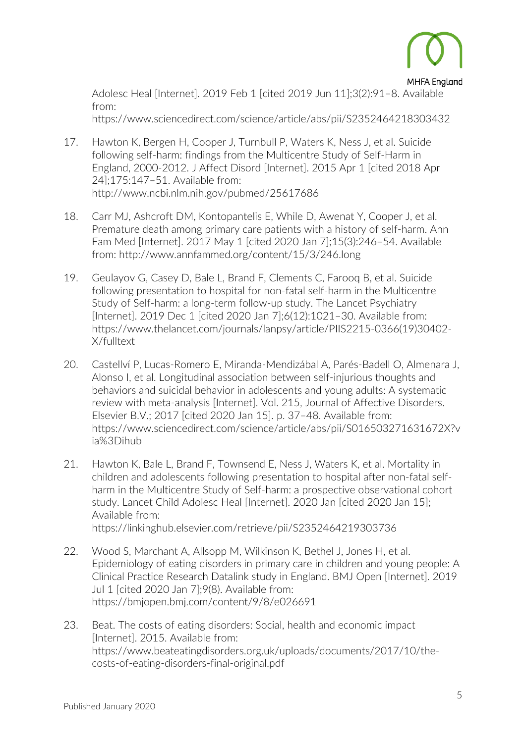

**MHFA England** Adolesc Heal [Internet]. 2019 Feb 1 [cited 2019 Jun 11];3(2):91–8. Available from:

https://www.sciencedirect.com/science/article/abs/pii/S2352464218303432

- 17. Hawton K, Bergen H, Cooper J, Turnbull P, Waters K, Ness J, et al. Suicide following self-harm: findings from the Multicentre Study of Self-Harm in England, 2000-2012. J Affect Disord [Internet]. 2015 Apr 1 [cited 2018 Apr 24];175:147–51. Available from: http://www.ncbi.nlm.nih.gov/pubmed/25617686
- 18. Carr MJ, Ashcroft DM, Kontopantelis E, While D, Awenat Y, Cooper J, et al. Premature death among primary care patients with a history of self-harm. Ann Fam Med [Internet]. 2017 May 1 [cited 2020 Jan 7];15(3):246–54. Available from: http://www.annfammed.org/content/15/3/246.long
- 19. Geulayov G, Casey D, Bale L, Brand F, Clements C, Farooq B, et al. Suicide following presentation to hospital for non-fatal self-harm in the Multicentre Study of Self-harm: a long-term follow-up study. The Lancet Psychiatry [Internet]. 2019 Dec 1 [cited 2020 Jan 7];6(12):1021–30. Available from: https://www.thelancet.com/journals/lanpsy/article/PIIS2215-0366(19)30402- X/fulltext
- 20. Castellví P, Lucas-Romero E, Miranda-Mendizábal A, Parés-Badell O, Almenara J, Alonso I, et al. Longitudinal association between self-injurious thoughts and behaviors and suicidal behavior in adolescents and young adults: A systematic review with meta-analysis [Internet]. Vol. 215, Journal of Affective Disorders. Elsevier B.V.; 2017 [cited 2020 Jan 15]. p. 37–48. Available from: https://www.sciencedirect.com/science/article/abs/pii/S016503271631672X?v ia%3Dihub
- 21. Hawton K, Bale L, Brand F, Townsend E, Ness J, Waters K, et al. Mortality in children and adolescents following presentation to hospital after non-fatal selfharm in the Multicentre Study of Self-harm: a prospective observational cohort study. Lancet Child Adolesc Heal [Internet]. 2020 Jan [cited 2020 Jan 15]; Available from: https://linkinghub.elsevier.com/retrieve/pii/S2352464219303736
- 22. Wood S, Marchant A, Allsopp M, Wilkinson K, Bethel J, Jones H, et al. Epidemiology of eating disorders in primary care in children and young people: A Clinical Practice Research Datalink study in England. BMJ Open [Internet]. 2019 Jul 1 [cited 2020 Jan 7];9(8). Available from: https://bmjopen.bmj.com/content/9/8/e026691
- 23. Beat. The costs of eating disorders: Social, health and economic impact [Internet]. 2015. Available from: https://www.beateatingdisorders.org.uk/uploads/documents/2017/10/thecosts-of-eating-disorders-final-original.pdf